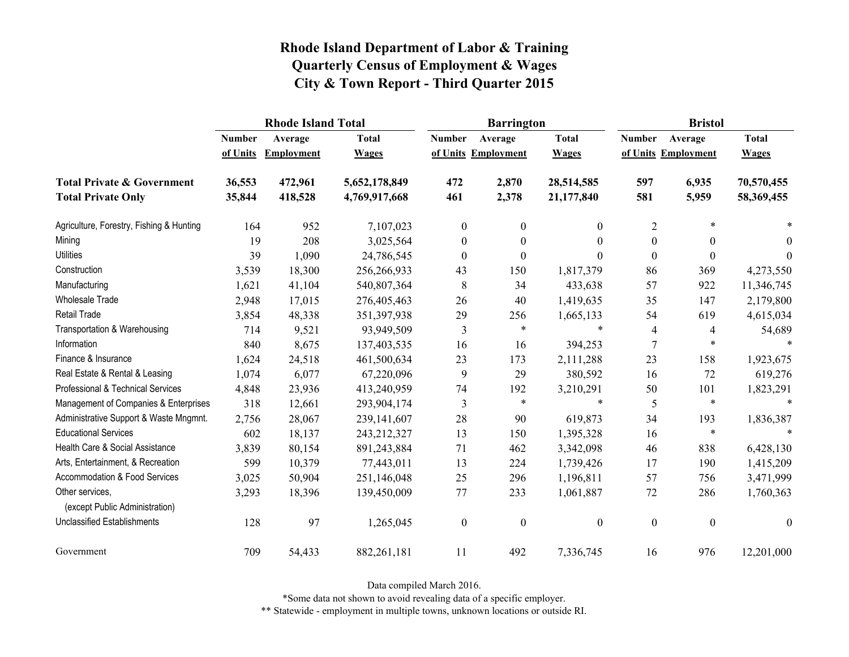|                                                   |               | <b>Rhode Island Total</b> |               |                  | <b>Barrington</b>   |                | <b>Bristol</b>   |                     |                  |
|---------------------------------------------------|---------------|---------------------------|---------------|------------------|---------------------|----------------|------------------|---------------------|------------------|
|                                                   | <b>Number</b> | Average                   | <b>Total</b>  | <b>Number</b>    | Average             | <b>Total</b>   | <b>Number</b>    | Average             | <b>Total</b>     |
|                                                   | of Units      | <b>Employment</b>         | <b>Wages</b>  |                  | of Units Employment | <b>Wages</b>   |                  | of Units Employment | <b>Wages</b>     |
| <b>Total Private &amp; Government</b>             | 36,553        | 472,961                   | 5,652,178,849 | 472              | 2,870               | 28,514,585     | 597              | 6,935               | 70,570,455       |
| <b>Total Private Only</b>                         | 35,844        | 418,528                   | 4,769,917,668 | 461              | 2,378               | 21,177,840     | 581              | 5,959               | 58,369,455       |
| Agriculture, Forestry, Fishing & Hunting          | 164           | 952                       | 7,107,023     | $\boldsymbol{0}$ | $\mathbf{0}$        | $\overline{0}$ | $\overline{2}$   | $\ast$              |                  |
| Mining                                            | 19            | 208                       | 3,025,564     | $\boldsymbol{0}$ | $\boldsymbol{0}$    | $\theta$       | $\boldsymbol{0}$ | $\boldsymbol{0}$    | $\theta$         |
| <b>Utilities</b>                                  | 39            | 1,090                     | 24,786,545    | $\boldsymbol{0}$ | $\theta$            | $\Omega$       | $\boldsymbol{0}$ | $\boldsymbol{0}$    | $\theta$         |
| Construction                                      | 3,539         | 18,300                    | 256,266,933   | 43               | 150                 | 1,817,379      | 86               | 369                 | 4,273,550        |
| Manufacturing                                     | 1,621         | 41,104                    | 540,807,364   | 8                | 34                  | 433,638        | 57               | 922                 | 11,346,745       |
| Wholesale Trade                                   | 2,948         | 17,015                    | 276,405,463   | 26               | 40                  | 1,419,635      | 35               | 147                 | 2,179,800        |
| <b>Retail Trade</b>                               | 3,854         | 48,338                    | 351,397,938   | 29               | 256                 | 1,665,133      | 54               | 619                 | 4,615,034        |
| Transportation & Warehousing                      | 714           | 9,521                     | 93,949,509    | 3                | $\ast$              | $\ast$         | 4                | 4                   | 54,689           |
| Information                                       | 840           | 8,675                     | 137,403,535   | 16               | 16                  | 394,253        | 7                | $\ast$              | $\ast$           |
| Finance & Insurance                               | 1,624         | 24,518                    | 461,500,634   | 23               | 173                 | 2,111,288      | 23               | 158                 | 1,923,675        |
| Real Estate & Rental & Leasing                    | 1,074         | 6,077                     | 67,220,096    | 9                | 29                  | 380,592        | 16               | 72                  | 619,276          |
| Professional & Technical Services                 | 4,848         | 23,936                    | 413,240,959   | 74               | 192                 | 3,210,291      | 50               | 101                 | 1,823,291        |
| Management of Companies & Enterprises             | 318           | 12,661                    | 293,904,174   | 3                | $\ast$              | $\ast$         | 5                | $\ast$              | $\ast$           |
| Administrative Support & Waste Mngmnt.            | 2,756         | 28,067                    | 239,141,607   | 28               | 90                  | 619,873        | 34               | 193                 | 1,836,387        |
| <b>Educational Services</b>                       | 602           | 18,137                    | 243,212,327   | 13               | 150                 | 1,395,328      | 16               | $\ast$              | $\ast$           |
| Health Care & Social Assistance                   | 3,839         | 80,154                    | 891,243,884   | 71               | 462                 | 3,342,098      | 46               | 838                 | 6,428,130        |
| Arts, Entertainment, & Recreation                 | 599           | 10,379                    | 77,443,011    | 13               | 224                 | 1,739,426      | 17               | 190                 | 1,415,209        |
| Accommodation & Food Services                     | 3,025         | 50,904                    | 251,146,048   | 25               | 296                 | 1,196,811      | 57               | 756                 | 3,471,999        |
| Other services,<br>(except Public Administration) | 3,293         | 18,396                    | 139,450,009   | 77               | 233                 | 1,061,887      | $72\,$           | 286                 | 1,760,363        |
| <b>Unclassified Establishments</b>                | 128           | 97                        | 1,265,045     | $\boldsymbol{0}$ | $\boldsymbol{0}$    | $\mathbf{0}$   | $\boldsymbol{0}$ | $\boldsymbol{0}$    | $\boldsymbol{0}$ |
| Government                                        | 709           | 54,433                    | 882,261,181   | 11               | 492                 | 7,336,745      | 16               | 976                 | 12,201,000       |

Data compiled March 2016.

\*Some data not shown to avoid revealing data of a specific employer.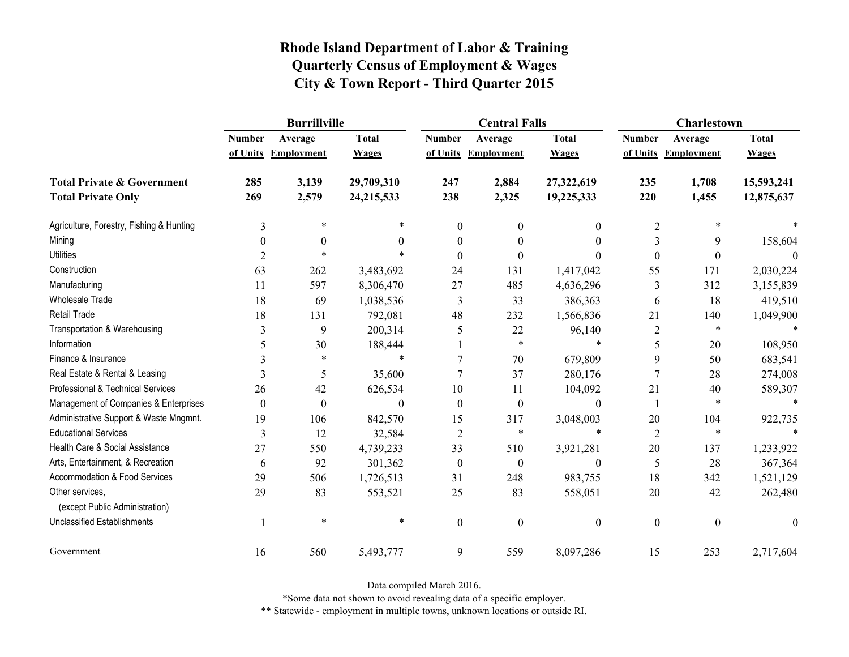|                                                   | <b>Burrillville</b> |                     |              |                  | <b>Central Falls</b> |                  | <b>Charlestown</b> |                     |              |
|---------------------------------------------------|---------------------|---------------------|--------------|------------------|----------------------|------------------|--------------------|---------------------|--------------|
|                                                   | <b>Number</b>       | Average             | <b>Total</b> | <b>Number</b>    | Average              | <b>Total</b>     | <b>Number</b>      | Average             | <b>Total</b> |
|                                                   |                     | of Units Employment | <b>Wages</b> |                  | of Units Employment  | <b>Wages</b>     |                    | of Units Employment | <b>Wages</b> |
| <b>Total Private &amp; Government</b>             | 285                 | 3,139               | 29,709,310   | 247              | 2,884                | 27,322,619       | 235                | 1,708               | 15,593,241   |
| <b>Total Private Only</b>                         | 269                 | 2,579               | 24,215,533   | 238              | 2,325                | 19,225,333       | 220                | 1,455               | 12,875,637   |
| Agriculture, Forestry, Fishing & Hunting          | 3                   | $\ast$              | *            | $\boldsymbol{0}$ | $\theta$             | $\boldsymbol{0}$ | $\overline{2}$     | $\ast$              |              |
| Mining                                            | $\theta$            | $\theta$            | $\theta$     | $\theta$         | $\theta$             | $\theta$         | 3                  | 9                   | 158,604      |
| <b>Utilities</b>                                  | $\overline{2}$      | $\ast$              | $\ast$       | $\Omega$         | $\theta$             | $\theta$         | $\boldsymbol{0}$   | $\boldsymbol{0}$    | $\theta$     |
| Construction                                      | 63                  | 262                 | 3,483,692    | 24               | 131                  | 1,417,042        | 55                 | 171                 | 2,030,224    |
| Manufacturing                                     | 11                  | 597                 | 8,306,470    | 27               | 485                  | 4,636,296        | 3                  | 312                 | 3,155,839    |
| <b>Wholesale Trade</b>                            | 18                  | 69                  | 1,038,536    | 3                | 33                   | 386,363          | 6                  | 18                  | 419,510      |
| <b>Retail Trade</b>                               | 18                  | 131                 | 792,081      | 48               | 232                  | 1,566,836        | 21                 | 140                 | 1,049,900    |
| Transportation & Warehousing                      | 3                   | 9                   | 200,314      | 5                | 22                   | 96,140           | $\sqrt{2}$         | $\ast$              |              |
| Information                                       | 5                   | 30                  | 188,444      |                  | $\ast$               | $\ast$           | 5                  | $20\,$              | 108,950      |
| Finance & Insurance                               |                     | $\ast$              | $\ast$       |                  | 70                   | 679,809          | 9                  | 50                  | 683,541      |
| Real Estate & Rental & Leasing                    | 3                   | 5                   | 35,600       |                  | 37                   | 280,176          | 7                  | 28                  | 274,008      |
| Professional & Technical Services                 | 26                  | 42                  | 626,534      | 10               | 11                   | 104,092          | 21                 | 40                  | 589,307      |
| Management of Companies & Enterprises             | $\theta$            | $\boldsymbol{0}$    | $\Omega$     | $\theta$         | $\theta$             | $\theta$         | 1                  | $\ast$              | $\ast$       |
| Administrative Support & Waste Mngmnt.            | 19                  | 106                 | 842,570      | 15               | 317                  | 3,048,003        | 20                 | 104                 | 922,735      |
| <b>Educational Services</b>                       | 3                   | 12                  | 32,584       | $\overline{2}$   | $\ast$               | $\ast$           | $\overline{2}$     | $\ast$              |              |
| Health Care & Social Assistance                   | 27                  | 550                 | 4,739,233    | 33               | 510                  | 3,921,281        | 20                 | 137                 | 1,233,922    |
| Arts, Entertainment, & Recreation                 | 6                   | 92                  | 301,362      | $\boldsymbol{0}$ | $\boldsymbol{0}$     | $\boldsymbol{0}$ | 5                  | 28                  | 367,364      |
| Accommodation & Food Services                     | 29                  | 506                 | 1,726,513    | 31               | 248                  | 983,755          | 18                 | 342                 | 1,521,129    |
| Other services,<br>(except Public Administration) | 29                  | 83                  | 553,521      | 25               | 83                   | 558,051          | 20                 | 42                  | 262,480      |
| <b>Unclassified Establishments</b>                | 1                   | $\ast$              | $\ast$       | $\boldsymbol{0}$ | $\mathbf{0}$         | $\boldsymbol{0}$ | $\boldsymbol{0}$   | $\boldsymbol{0}$    | $\mathbf{0}$ |
| Government                                        | 16                  | 560                 | 5,493,777    | 9                | 559                  | 8,097,286        | 15                 | 253                 | 2,717,604    |

Data compiled March 2016.

\*Some data not shown to avoid revealing data of a specific employer.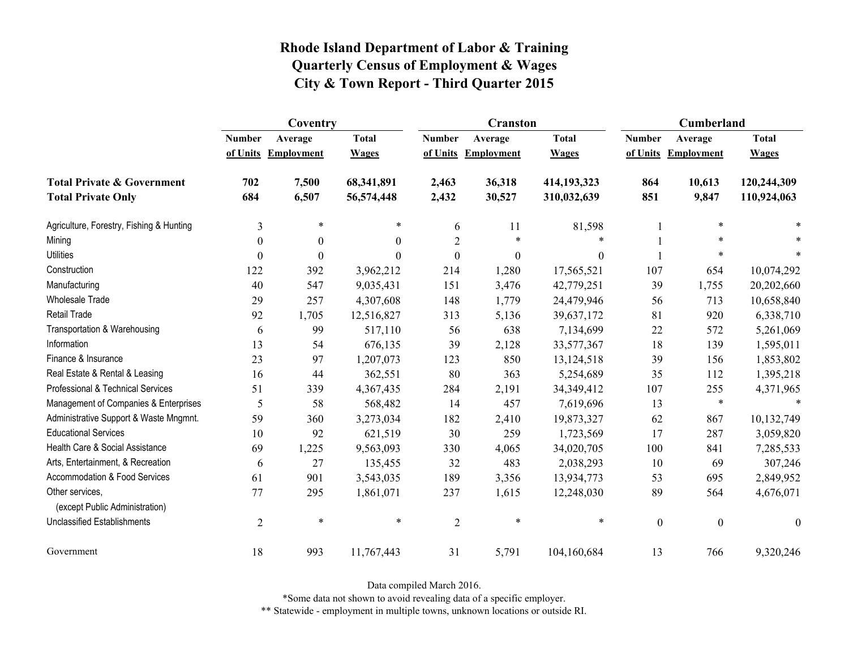|                                                   | Coventry         |                   |              |                  | <b>Cranston</b>     |                  | Cumberland       |                     |                  |
|---------------------------------------------------|------------------|-------------------|--------------|------------------|---------------------|------------------|------------------|---------------------|------------------|
|                                                   | <b>Number</b>    | Average           | <b>Total</b> | <b>Number</b>    | Average             | <b>Total</b>     | <b>Number</b>    | Average             | <b>Total</b>     |
|                                                   | of Units         | <b>Employment</b> | <b>Wages</b> |                  | of Units Employment | <b>Wages</b>     |                  | of Units Employment | <b>Wages</b>     |
| <b>Total Private &amp; Government</b>             | 702              | 7,500             | 68,341,891   | 2,463            | 36,318              | 414,193,323      | 864              | 10,613              | 120,244,309      |
| <b>Total Private Only</b>                         | 684              | 6,507             | 56,574,448   | 2,432            | 30,527              | 310,032,639      | 851              | 9,847               | 110,924,063      |
| Agriculture, Forestry, Fishing & Hunting          | 3                | $\ast$            | *            | 6                | 11                  | 81,598           |                  | $\ast$              |                  |
| Mining                                            | $\theta$         | $\theta$          | $\theta$     | $\overline{2}$   | *                   | $\ast$           |                  | $\ast$              |                  |
| <b>Utilities</b>                                  | $\boldsymbol{0}$ | $\mathbf{0}$      | $\Omega$     | $\boldsymbol{0}$ | $\mathbf{0}$        | $\boldsymbol{0}$ |                  | $\ast$              |                  |
| Construction                                      | 122              | 392               | 3,962,212    | 214              | 1,280               | 17,565,521       | 107              | 654                 | 10,074,292       |
| Manufacturing                                     | 40               | 547               | 9,035,431    | 151              | 3,476               | 42,779,251       | 39               | 1,755               | 20,202,660       |
| <b>Wholesale Trade</b>                            | 29               | 257               | 4,307,608    | 148              | 1,779               | 24,479,946       | 56               | 713                 | 10,658,840       |
| Retail Trade                                      | 92               | 1,705             | 12,516,827   | 313              | 5,136               | 39,637,172       | 81               | 920                 | 6,338,710        |
| Transportation & Warehousing                      | 6                | 99                | 517,110      | 56               | 638                 | 7,134,699        | 22               | 572                 | 5,261,069        |
| Information                                       | 13               | 54                | 676,135      | 39               | 2,128               | 33,577,367       | 18               | 139                 | 1,595,011        |
| Finance & Insurance                               | 23               | 97                | 1,207,073    | 123              | 850                 | 13,124,518       | 39               | 156                 | 1,853,802        |
| Real Estate & Rental & Leasing                    | 16               | 44                | 362,551      | 80               | 363                 | 5,254,689        | 35               | 112                 | 1,395,218        |
| Professional & Technical Services                 | 51               | 339               | 4,367,435    | 284              | 2,191               | 34,349,412       | 107              | 255                 | 4,371,965        |
| Management of Companies & Enterprises             | 5                | 58                | 568,482      | 14               | 457                 | 7,619,696        | 13               | $\ast$              | $\ast$           |
| Administrative Support & Waste Mngmnt.            | 59               | 360               | 3,273,034    | 182              | 2,410               | 19,873,327       | 62               | 867                 | 10,132,749       |
| <b>Educational Services</b>                       | 10               | 92                | 621,519      | 30               | 259                 | 1,723,569        | 17               | 287                 | 3,059,820        |
| Health Care & Social Assistance                   | 69               | 1,225             | 9,563,093    | 330              | 4,065               | 34,020,705       | 100              | 841                 | 7,285,533        |
| Arts, Entertainment, & Recreation                 | 6                | 27                | 135,455      | 32               | 483                 | 2,038,293        | 10               | 69                  | 307,246          |
| Accommodation & Food Services                     | 61               | 901               | 3,543,035    | 189              | 3,356               | 13,934,773       | 53               | 695                 | 2,849,952        |
| Other services.<br>(except Public Administration) | 77               | 295               | 1,861,071    | 237              | 1,615               | 12,248,030       | 89               | 564                 | 4,676,071        |
| <b>Unclassified Establishments</b>                | $\overline{2}$   | $\ast$            | $\ast$       | $\overline{2}$   | $\ast$              | $\ast$           | $\boldsymbol{0}$ | $\boldsymbol{0}$    | $\boldsymbol{0}$ |
| Government                                        | 18               | 993               | 11,767,443   | 31               | 5,791               | 104,160,684      | 13               | 766                 | 9,320,246        |

Data compiled March 2016.

\*Some data not shown to avoid revealing data of a specific employer.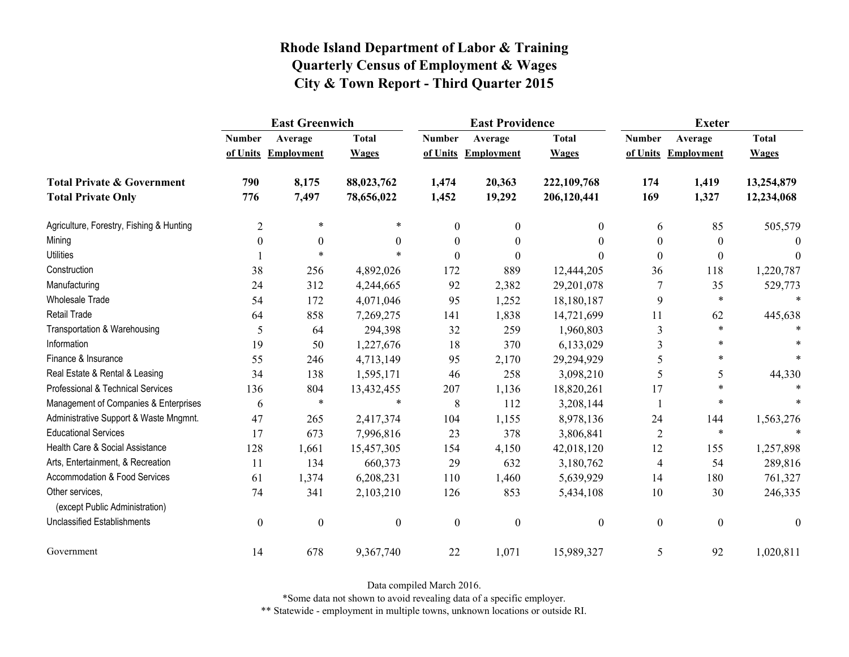|                                                   | <b>East Greenwich</b> |                     |                  | <b>East Providence</b> |                     | <b>Exeter</b>    |                  |                     |              |
|---------------------------------------------------|-----------------------|---------------------|------------------|------------------------|---------------------|------------------|------------------|---------------------|--------------|
|                                                   | <b>Number</b>         | Average             | <b>Total</b>     | <b>Number</b>          | Average             | <b>Total</b>     | <b>Number</b>    | Average             | <b>Total</b> |
|                                                   |                       | of Units Employment | <b>Wages</b>     |                        | of Units Employment | <b>Wages</b>     |                  | of Units Employment | <b>Wages</b> |
| <b>Total Private &amp; Government</b>             | 790                   | 8,175               | 88,023,762       | 1,474                  | 20,363              | 222,109,768      | 174              | 1,419               | 13,254,879   |
| <b>Total Private Only</b>                         | 776                   | 7,497               | 78,656,022       | 1,452                  | 19,292              | 206,120,441      | 169              | 1,327               | 12,234,068   |
| Agriculture, Forestry, Fishing & Hunting          | $\overline{c}$        | $\ast$              | $\ast$           | $\theta$               | $\boldsymbol{0}$    | 0                | 6                | 85                  | 505,579      |
| Mining                                            | $\theta$              | $\boldsymbol{0}$    | $\theta$         | $\boldsymbol{0}$       | 0                   | $\theta$         | $\boldsymbol{0}$ | $\theta$            | $\theta$     |
| <b>Utilities</b>                                  |                       | $\ast$              |                  | $\theta$               | $\theta$            | 0                | $\boldsymbol{0}$ | $\theta$            | $\theta$     |
| Construction                                      | 38                    | 256                 | 4,892,026        | 172                    | 889                 | 12,444,205       | 36               | 118                 | 1,220,787    |
| Manufacturing                                     | 24                    | 312                 | 4,244,665        | 92                     | 2,382               | 29,201,078       | 7                | 35                  | 529,773      |
| <b>Wholesale Trade</b>                            | 54                    | 172                 | 4,071,046        | 95                     | 1,252               | 18,180,187       | 9                | $\ast$              |              |
| <b>Retail Trade</b>                               | 64                    | 858                 | 7,269,275        | 141                    | 1,838               | 14,721,699       | 11               | 62                  | 445,638      |
| Transportation & Warehousing                      | 5                     | 64                  | 294,398          | 32                     | 259                 | 1,960,803        | $\mathfrak{Z}$   | $\ast$              |              |
| Information                                       | 19                    | 50                  | 1,227,676        | 18                     | 370                 | 6,133,029        | 3                |                     |              |
| Finance & Insurance                               | 55                    | 246                 | 4,713,149        | 95                     | 2,170               | 29,294,929       | 5                | $\ast$              |              |
| Real Estate & Rental & Leasing                    | 34                    | 138                 | 1,595,171        | 46                     | 258                 | 3,098,210        | 5                | 5                   | 44,330       |
| Professional & Technical Services                 | 136                   | 804                 | 13,432,455       | 207                    | 1,136               | 18,820,261       | 17               | $\ast$              |              |
| Management of Companies & Enterprises             | 6                     | $\ast$              | $\ast$           | 8                      | 112                 | 3,208,144        |                  | $\ast$              |              |
| Administrative Support & Waste Mngmnt.            | 47                    | 265                 | 2,417,374        | 104                    | 1,155               | 8,978,136        | 24               | 144                 | 1,563,276    |
| <b>Educational Services</b>                       | 17                    | 673                 | 7,996,816        | 23                     | 378                 | 3,806,841        | $\overline{2}$   | $\ast$              |              |
| Health Care & Social Assistance                   | 128                   | 1,661               | 15,457,305       | 154                    | 4,150               | 42,018,120       | 12               | 155                 | 1,257,898    |
| Arts, Entertainment, & Recreation                 | 11                    | 134                 | 660,373          | 29                     | 632                 | 3,180,762        | $\overline{4}$   | 54                  | 289,816      |
| <b>Accommodation &amp; Food Services</b>          | 61                    | 1,374               | 6,208,231        | 110                    | 1,460               | 5,639,929        | 14               | 180                 | 761,327      |
| Other services,<br>(except Public Administration) | 74                    | 341                 | 2,103,210        | 126                    | 853                 | 5,434,108        | 10               | 30                  | 246,335      |
| <b>Unclassified Establishments</b>                | $\boldsymbol{0}$      | $\boldsymbol{0}$    | $\boldsymbol{0}$ | $\boldsymbol{0}$       | $\boldsymbol{0}$    | $\boldsymbol{0}$ | $\boldsymbol{0}$ | $\boldsymbol{0}$    | $\theta$     |
| Government                                        | 14                    | 678                 | 9,367,740        | 22                     | 1,071               | 15,989,327       | 5                | 92                  | 1,020,811    |

Data compiled March 2016.

\*Some data not shown to avoid revealing data of a specific employer.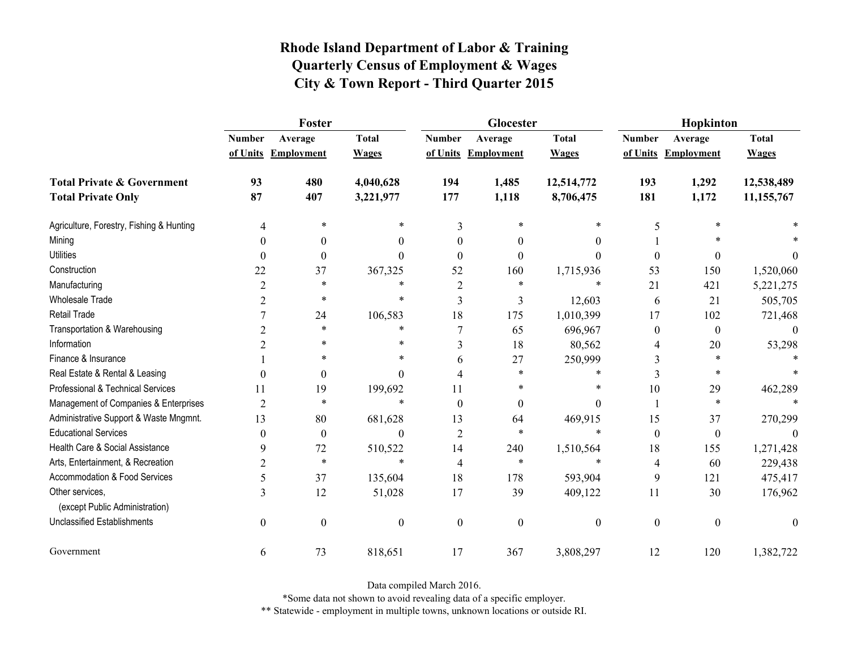|                                                   |                  | Foster              |                  |                  | Glocester           |                  | Hopkinton        |                     |              |  |
|---------------------------------------------------|------------------|---------------------|------------------|------------------|---------------------|------------------|------------------|---------------------|--------------|--|
|                                                   | <b>Number</b>    | Average             | <b>Total</b>     | <b>Number</b>    | Average             | <b>Total</b>     | <b>Number</b>    | Average             | <b>Total</b> |  |
|                                                   |                  | of Units Employment | <b>Wages</b>     |                  | of Units Employment | <b>Wages</b>     |                  | of Units Employment | <b>Wages</b> |  |
| <b>Total Private &amp; Government</b>             | 93               | 480                 | 4,040,628        | 194              | 1,485               | 12,514,772       | 193              | 1,292               | 12,538,489   |  |
| <b>Total Private Only</b>                         | 87               | 407                 | 3,221,977        | 177              | 1,118               | 8,706,475        | 181              | 1,172               | 11,155,767   |  |
| Agriculture, Forestry, Fishing & Hunting          | 4                | *                   | *                | 3                | $\ast$              | *                | 5                | $\ast$              |              |  |
| Mining                                            | $\Omega$         | $\theta$            | 0                | $\theta$         | $\theta$            | $\theta$         |                  |                     |              |  |
| <b>Utilities</b>                                  | $\theta$         | $\boldsymbol{0}$    | $\Omega$         | $\theta$         | $\theta$            | $\theta$         | $\boldsymbol{0}$ | 0                   | $\theta$     |  |
| Construction                                      | 22               | 37                  | 367,325          | 52               | 160                 | 1,715,936        | 53               | 150                 | 1,520,060    |  |
| Manufacturing                                     | $\overline{2}$   | *                   | *                | 2                | *                   | *                | 21               | 421                 | 5,221,275    |  |
| <b>Wholesale Trade</b>                            | $\overline{2}$   | *                   | $\ast$           | 3                | 3                   | 12,603           | 6                | 21                  | 505,705      |  |
| <b>Retail Trade</b>                               |                  | 24                  | 106,583          | 18               | 175                 | 1,010,399        | 17               | 102                 | 721,468      |  |
| Transportation & Warehousing                      | $\overline{2}$   | $\ast$              | *                | 7                | 65                  | 696,967          | $\boldsymbol{0}$ | $\boldsymbol{0}$    | $\theta$     |  |
| Information                                       | 2                | $\ast$              | *                | 3                | 18                  | 80,562           | 4                | $20\,$              | 53,298       |  |
| Finance & Insurance                               |                  | *                   | *                | 6                | 27                  | 250,999          | 3                | $\ast$              |              |  |
| Real Estate & Rental & Leasing                    | $\theta$         | $\boldsymbol{0}$    | $\Omega$         | 4                | $\ast$              | $\ast$           | 3                | $\ast$              |              |  |
| Professional & Technical Services                 | 11               | 19                  | 199,692          | 11               | *                   | $\ast$           | 10               | 29                  | 462,289      |  |
| Management of Companies & Enterprises             | $\overline{2}$   | *                   | $\ast$           | $\Omega$         | $\theta$            | $\theta$         |                  | $\ast$              |              |  |
| Administrative Support & Waste Mngmnt.            | 13               | 80                  | 681,628          | 13               | 64                  | 469,915          | 15               | 37                  | 270,299      |  |
| <b>Educational Services</b>                       | $\theta$         | $\boldsymbol{0}$    | $\theta$         | $\overline{2}$   | $\ast$              | $\ast$           | $\boldsymbol{0}$ | $\boldsymbol{0}$    |              |  |
| Health Care & Social Assistance                   | 9                | 72                  | 510,522          | 14               | 240                 | 1,510,564        | 18               | 155                 | 1,271,428    |  |
| Arts, Entertainment, & Recreation                 | $\overline{2}$   | $\ast$              | $\ast$           | 4                | $\ast$              | $\ast$           | $\overline{4}$   | 60                  | 229,438      |  |
| Accommodation & Food Services                     | 5                | 37                  | 135,604          | 18               | 178                 | 593,904          | 9                | 121                 | 475,417      |  |
| Other services,<br>(except Public Administration) | 3                | 12                  | 51,028           | 17               | 39                  | 409,122          | 11               | 30                  | 176,962      |  |
| <b>Unclassified Establishments</b>                | $\boldsymbol{0}$ | $\boldsymbol{0}$    | $\boldsymbol{0}$ | $\boldsymbol{0}$ | $\mathbf{0}$        | $\boldsymbol{0}$ | $\boldsymbol{0}$ | $\boldsymbol{0}$    | $\mathbf{0}$ |  |
| Government                                        | 6                | 73                  | 818,651          | 17               | 367                 | 3,808,297        | 12               | 120                 | 1,382,722    |  |

Data compiled March 2016.

\*Some data not shown to avoid revealing data of a specific employer.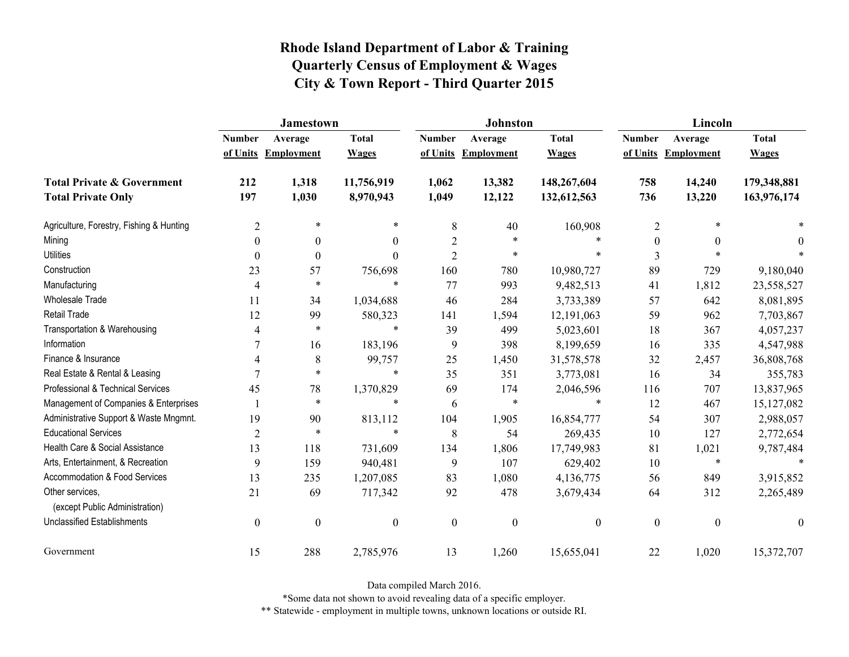|                                                   | <b>Jamestown</b> |                     |                  |                  | <b>Johnston</b>   |                  | Lincoln          |                   |                  |
|---------------------------------------------------|------------------|---------------------|------------------|------------------|-------------------|------------------|------------------|-------------------|------------------|
|                                                   | <b>Number</b>    | Average             | <b>Total</b>     | <b>Number</b>    | Average           | <b>Total</b>     | <b>Number</b>    | Average           | <b>Total</b>     |
|                                                   |                  | of Units Employment | <b>Wages</b>     | of Units         | <b>Employment</b> | <b>Wages</b>     | of Units         | <b>Employment</b> | <b>Wages</b>     |
| <b>Total Private &amp; Government</b>             | 212              | 1,318               | 11,756,919       | 1,062            | 13,382            | 148,267,604      | 758              | 14,240            | 179,348,881      |
| <b>Total Private Only</b>                         | 197              | 1,030               | 8,970,943        | 1,049            | 12,122            | 132,612,563      | 736              | 13,220            | 163,976,174      |
| Agriculture, Forestry, Fishing & Hunting          | $\overline{c}$   | $\ast$              | $\ast$           | 8                | 40                | 160,908          | $\overline{2}$   | $\ast$            |                  |
| Mining                                            | $\theta$         | $\theta$            | $\overline{0}$   | $\overline{2}$   | $\ast$            | $\ast$           | $\boldsymbol{0}$ | $\theta$          | $\theta$         |
| <b>Utilities</b>                                  | 0                | $\theta$            | $\boldsymbol{0}$ | $\overline{2}$   | $\ast$            | $\ast$           | 3                | $\ast$            |                  |
| Construction                                      | 23               | 57                  | 756,698          | 160              | 780               | 10,980,727       | 89               | 729               | 9,180,040        |
| Manufacturing                                     | 4                | $\ast$              | $\ast$           | 77               | 993               | 9,482,513        | 41               | 1,812             | 23,558,527       |
| <b>Wholesale Trade</b>                            | 11               | 34                  | 1,034,688        | 46               | 284               | 3,733,389        | 57               | 642               | 8,081,895        |
| <b>Retail Trade</b>                               | 12               | 99                  | 580,323          | 141              | 1,594             | 12,191,063       | 59               | 962               | 7,703,867        |
| Transportation & Warehousing                      | 4                | $\ast$              | $\ast$           | 39               | 499               | 5,023,601        | 18               | 367               | 4,057,237        |
| Information                                       |                  | 16                  | 183,196          | 9                | 398               | 8,199,659        | 16               | 335               | 4,547,988        |
| Finance & Insurance                               | 4                | 8                   | 99,757           | 25               | 1,450             | 31,578,578       | 32               | 2,457             | 36,808,768       |
| Real Estate & Rental & Leasing                    |                  | $\ast$              | $\ast$           | 35               | 351               | 3,773,081        | 16               | 34                | 355,783          |
| Professional & Technical Services                 | 45               | 78                  | 1,370,829        | 69               | 174               | 2,046,596        | 116              | 707               | 13,837,965       |
| Management of Companies & Enterprises             |                  | $\ast$              | $\ast$           | 6                | $\ast$            | $\ast$           | 12               | 467               | 15, 127, 082     |
| Administrative Support & Waste Mngmnt.            | 19               | 90                  | 813,112          | 104              | 1,905             | 16,854,777       | 54               | 307               | 2,988,057        |
| <b>Educational Services</b>                       | 2                | $\ast$              | $\ast$           | 8                | 54                | 269,435          | 10               | 127               | 2,772,654        |
| Health Care & Social Assistance                   | 13               | 118                 | 731,609          | 134              | 1,806             | 17,749,983       | 81               | 1,021             | 9,787,484        |
| Arts, Entertainment, & Recreation                 | 9                | 159                 | 940,481          | 9                | 107               | 629,402          | 10               | $\ast$            | $\ast$           |
| Accommodation & Food Services                     | 13               | 235                 | 1,207,085        | 83               | 1,080             | 4,136,775        | 56               | 849               | 3,915,852        |
| Other services,<br>(except Public Administration) | 21               | 69                  | 717,342          | 92               | 478               | 3,679,434        | 64               | 312               | 2,265,489        |
| <b>Unclassified Establishments</b>                | $\boldsymbol{0}$ | $\boldsymbol{0}$    | $\boldsymbol{0}$ | $\boldsymbol{0}$ | $\boldsymbol{0}$  | $\boldsymbol{0}$ | $\boldsymbol{0}$ | $\boldsymbol{0}$  | $\boldsymbol{0}$ |
| Government                                        | 15               | 288                 | 2,785,976        | 13               | 1,260             | 15,655,041       | 22               | 1,020             | 15,372,707       |

Data compiled March 2016.

\*Some data not shown to avoid revealing data of a specific employer.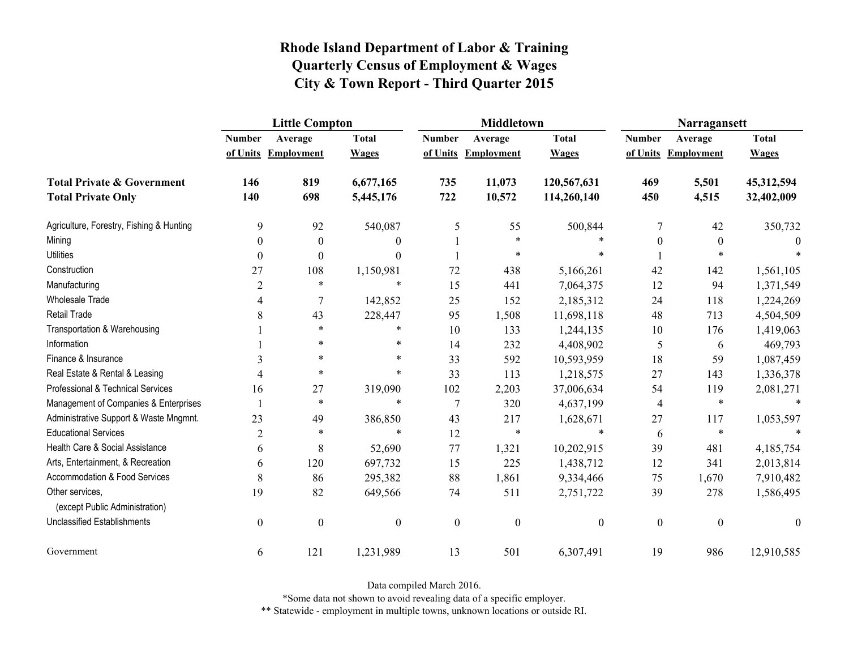|                                                   | <b>Little Compton</b>    |                     |                  |                  | <b>Middletown</b>   |                  | Narragansett     |                     |                  |
|---------------------------------------------------|--------------------------|---------------------|------------------|------------------|---------------------|------------------|------------------|---------------------|------------------|
|                                                   | <b>Number</b>            | Average             | <b>Total</b>     | <b>Number</b>    | Average             | <b>Total</b>     | <b>Number</b>    | Average             | <b>Total</b>     |
|                                                   |                          | of Units Employment | <b>Wages</b>     |                  | of Units Employment | <b>Wages</b>     |                  | of Units Employment | <b>Wages</b>     |
| <b>Total Private &amp; Government</b>             | 146                      | 819                 | 6,677,165        | 735              | 11,073              | 120,567,631      | 469              | 5,501               | 45,312,594       |
| <b>Total Private Only</b>                         | 140                      | 698                 | 5,445,176        | 722              | 10,572              | 114,260,140      | 450              | 4,515               | 32,402,009       |
| Agriculture, Forestry, Fishing & Hunting          | 9                        | 92                  | 540,087          | 5                | 55                  | 500,844          | 7                | 42                  | 350,732          |
| Mining                                            | $\boldsymbol{0}$         | $\boldsymbol{0}$    | $\theta$         |                  | $\ast$              |                  | $\boldsymbol{0}$ | $\boldsymbol{0}$    | $\Omega$         |
| <b>Utilities</b>                                  | $\boldsymbol{0}$         | $\theta$            | $\Omega$         |                  | $\ast$              |                  |                  | *                   |                  |
| Construction                                      | 27                       | 108                 | 1,150,981        | 72               | 438                 | 5,166,261        | 42               | 142                 | 1,561,105        |
| Manufacturing                                     | $\overline{2}$           | $\ast$              | $\ast$           | 15               | 441                 | 7,064,375        | 12               | 94                  | 1,371,549        |
| Wholesale Trade                                   | 4                        | $\overline{7}$      | 142,852          | 25               | 152                 | 2,185,312        | 24               | 118                 | 1,224,269        |
| Retail Trade                                      | 8                        | 43                  | 228,447          | 95               | 1,508               | 11,698,118       | 48               | 713                 | 4,504,509        |
| Transportation & Warehousing                      |                          | $\ast$              | $\ast$           | 10               | 133                 | 1,244,135        | 10               | 176                 | 1,419,063        |
| Information                                       |                          | $\ast$              | $\ast$           | 14               | 232                 | 4,408,902        | 5                | 6                   | 469,793          |
| Finance & Insurance                               | 3                        | $\ast$              | *                | 33               | 592                 | 10,593,959       | 18               | 59                  | 1,087,459        |
| Real Estate & Rental & Leasing                    | $\boldsymbol{\varDelta}$ | $\ast$              | $\ast$           | 33               | 113                 | 1,218,575        | 27               | 143                 | 1,336,378        |
| Professional & Technical Services                 | 16                       | 27                  | 319,090          | 102              | 2,203               | 37,006,634       | 54               | 119                 | 2,081,271        |
| Management of Companies & Enterprises             |                          | $\ast$              | $\ast$           | $\tau$           | 320                 | 4,637,199        | 4                | $\ast$              | $\ast$           |
| Administrative Support & Waste Mngmnt.            | 23                       | 49                  | 386,850          | 43               | 217                 | 1,628,671        | 27               | 117                 | 1,053,597        |
| <b>Educational Services</b>                       | $\overline{2}$           | $\ast$              | $\ast$           | 12               | $\ast$              | $\ast$           | 6                | $\ast$              |                  |
| Health Care & Social Assistance                   | 6                        | $\,$ $\,$           | 52,690           | 77               | 1,321               | 10,202,915       | 39               | 481                 | 4,185,754        |
| Arts, Entertainment, & Recreation                 | 6                        | 120                 | 697,732          | 15               | 225                 | 1,438,712        | 12               | 341                 | 2,013,814        |
| <b>Accommodation &amp; Food Services</b>          | 8                        | 86                  | 295,382          | 88               | 1,861               | 9,334,466        | 75               | 1,670               | 7,910,482        |
| Other services,<br>(except Public Administration) | 19                       | 82                  | 649,566          | 74               | 511                 | 2,751,722        | 39               | 278                 | 1,586,495        |
| <b>Unclassified Establishments</b>                | $\boldsymbol{0}$         | $\boldsymbol{0}$    | $\boldsymbol{0}$ | $\boldsymbol{0}$ | $\boldsymbol{0}$    | $\boldsymbol{0}$ | $\boldsymbol{0}$ | $\boldsymbol{0}$    | $\boldsymbol{0}$ |
| Government                                        | 6                        | 121                 | 1,231,989        | 13               | 501                 | 6,307,491        | 19               | 986                 | 12,910,585       |

Data compiled March 2016.

\*Some data not shown to avoid revealing data of a specific employer.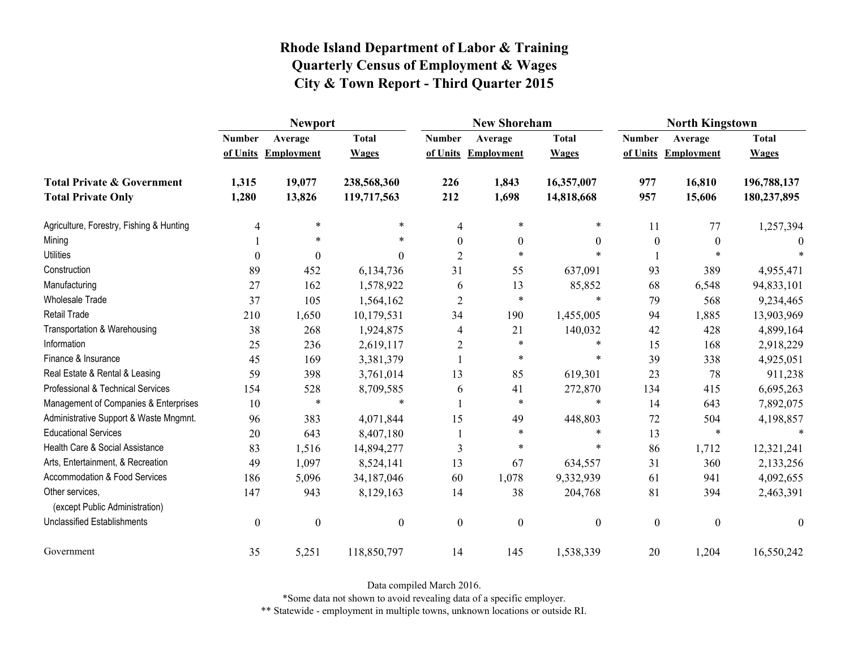|                                                   | <b>Newport</b>   |                     |                  |                  | <b>New Shoreham</b> |                  | <b>North Kingstown</b> |                     |                  |
|---------------------------------------------------|------------------|---------------------|------------------|------------------|---------------------|------------------|------------------------|---------------------|------------------|
|                                                   | <b>Number</b>    | Average             | <b>Total</b>     | <b>Number</b>    | Average             | <b>Total</b>     | <b>Number</b>          | Average             | <b>Total</b>     |
|                                                   |                  | of Units Employment | <b>Wages</b>     |                  | of Units Employment | <b>Wages</b>     |                        | of Units Employment | <b>Wages</b>     |
| <b>Total Private &amp; Government</b>             | 1,315            | 19,077              | 238,568,360      | 226              | 1,843               | 16,357,007       | 977                    | 16,810              | 196,788,137      |
| <b>Total Private Only</b>                         | 1,280            | 13,826              | 119,717,563      | 212              | 1,698               | 14,818,668       | 957                    | 15,606              | 180,237,895      |
| Agriculture, Forestry, Fishing & Hunting          | 4                | $\ast$              | *                | 4                | $\ast$              | *                | 11                     | 77                  | 1,257,394        |
| Mining                                            |                  | *                   | *                | $\theta$         | $\boldsymbol{0}$    | $\theta$         | $\boldsymbol{0}$       | $\theta$            |                  |
| <b>Utilities</b>                                  | $\theta$         | $\theta$            | 0                | $\overline{2}$   | $\ast$              |                  |                        | $\ast$              |                  |
| Construction                                      | 89               | 452                 | 6,134,736        | 31               | 55                  | 637,091          | 93                     | 389                 | 4,955,471        |
| Manufacturing                                     | 27               | 162                 | 1,578,922        | 6                | 13                  | 85,852           | 68                     | 6,548               | 94,833,101       |
| Wholesale Trade                                   | 37               | 105                 | 1,564,162        | $\overline{2}$   | $\ast$              | $\ast$           | 79                     | 568                 | 9,234,465        |
| <b>Retail Trade</b>                               | 210              | 1,650               | 10,179,531       | 34               | 190                 | 1,455,005        | 94                     | 1,885               | 13,903,969       |
| Transportation & Warehousing                      | 38               | 268                 | 1,924,875        | 4                | 21                  | 140,032          | 42                     | 428                 | 4,899,164        |
| Information                                       | 25               | 236                 | 2,619,117        | $\overline{2}$   | $\ast$              | $\ast$           | 15                     | 168                 | 2,918,229        |
| Finance & Insurance                               | 45               | 169                 | 3,381,379        |                  | $\ast$              | $\ast$           | 39                     | 338                 | 4,925,051        |
| Real Estate & Rental & Leasing                    | 59               | 398                 | 3,761,014        | 13               | 85                  | 619,301          | 23                     | 78                  | 911,238          |
| Professional & Technical Services                 | 154              | 528                 | 8,709,585        | 6                | 41                  | 272,870          | 134                    | 415                 | 6,695,263        |
| Management of Companies & Enterprises             | 10               | $\ast$              | $\ast$           |                  | $\ast$              | $\ast$           | 14                     | 643                 | 7,892,075        |
| Administrative Support & Waste Mngmnt.            | 96               | 383                 | 4,071,844        | 15               | 49                  | 448,803          | 72                     | 504                 | 4,198,857        |
| <b>Educational Services</b>                       | 20               | 643                 | 8,407,180        |                  | $\ast$              | $\ast$           | 13                     | $\ast$              |                  |
| Health Care & Social Assistance                   | 83               | 1,516               | 14,894,277       | 3                | $\ast$              | $\ast$           | 86                     | 1,712               | 12,321,241       |
| Arts, Entertainment, & Recreation                 | 49               | 1,097               | 8,524,141        | 13               | 67                  | 634,557          | 31                     | 360                 | 2,133,256        |
| Accommodation & Food Services                     | 186              | 5,096               | 34,187,046       | 60               | 1,078               | 9,332,939        | 61                     | 941                 | 4,092,655        |
| Other services,<br>(except Public Administration) | 147              | 943                 | 8,129,163        | 14               | 38                  | 204,768          | 81                     | 394                 | 2,463,391        |
| <b>Unclassified Establishments</b>                | $\boldsymbol{0}$ | $\boldsymbol{0}$    | $\boldsymbol{0}$ | $\boldsymbol{0}$ | $\boldsymbol{0}$    | $\boldsymbol{0}$ | $\boldsymbol{0}$       | $\mathbf{0}$        | $\boldsymbol{0}$ |
| Government                                        | 35               | 5,251               | 118,850,797      | 14               | 145                 | 1,538,339        | 20                     | 1,204               | 16,550,242       |

Data compiled March 2016.

\*Some data not shown to avoid revealing data of a specific employer.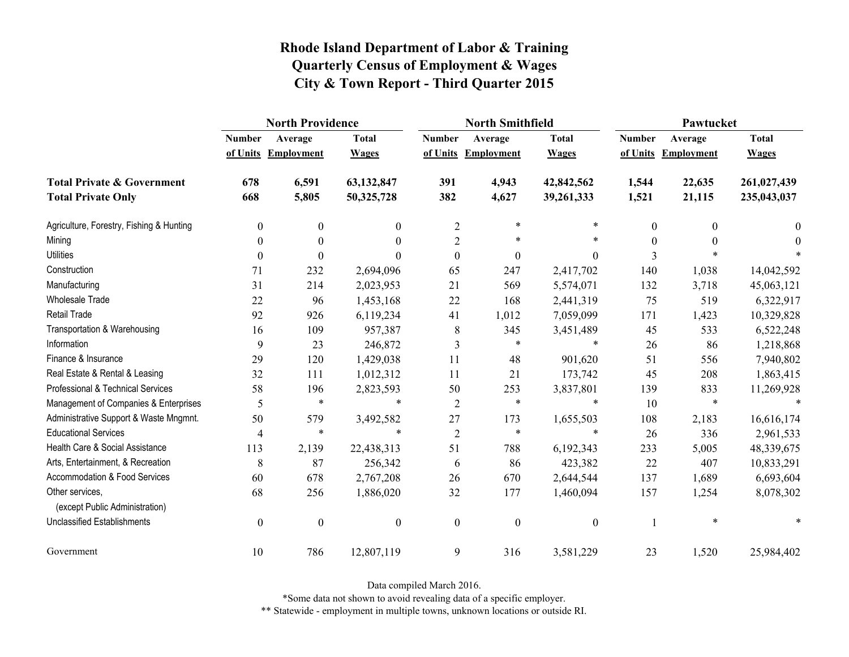|                                                   | <b>North Providence</b> |                     |                  |                  | <b>North Smithfield</b> |                  | Pawtucket     |                     |              |
|---------------------------------------------------|-------------------------|---------------------|------------------|------------------|-------------------------|------------------|---------------|---------------------|--------------|
|                                                   | <b>Number</b>           | Average             | <b>Total</b>     | <b>Number</b>    | Average                 | <b>Total</b>     | <b>Number</b> | Average             | <b>Total</b> |
|                                                   |                         | of Units Employment | <b>Wages</b>     |                  | of Units Employment     | <b>Wages</b>     |               | of Units Employment | <b>Wages</b> |
| <b>Total Private &amp; Government</b>             | 678                     | 6,591               | 63,132,847       | 391              | 4,943                   | 42,842,562       | 1,544         | 22,635              | 261,027,439  |
| <b>Total Private Only</b>                         | 668                     | 5,805               | 50,325,728       | 382              | 4,627                   | 39,261,333       | 1,521         | 21,115              | 235,043,037  |
| Agriculture, Forestry, Fishing & Hunting          | $\boldsymbol{0}$        | $\boldsymbol{0}$    | $\boldsymbol{0}$ | $\overline{2}$   | $\ast$                  | $\ast$           | 0             | $\theta$            | $\mathbf{0}$ |
| Mining                                            | $\theta$                | $\theta$            | $\Omega$         | $\overline{2}$   | *                       | *                | $\Omega$      | $\theta$            | $\theta$     |
| <b>Utilities</b>                                  | $\boldsymbol{0}$        | $\theta$            | $\Omega$         | $\boldsymbol{0}$ | $\boldsymbol{0}$        | $\boldsymbol{0}$ | 3             |                     |              |
| Construction                                      | 71                      | 232                 | 2,694,096        | 65               | 247                     | 2,417,702        | 140           | 1,038               | 14,042,592   |
| Manufacturing                                     | 31                      | 214                 | 2,023,953        | 21               | 569                     | 5,574,071        | 132           | 3,718               | 45,063,121   |
| <b>Wholesale Trade</b>                            | 22                      | 96                  | 1,453,168        | 22               | 168                     | 2,441,319        | 75            | 519                 | 6,322,917    |
| <b>Retail Trade</b>                               | 92                      | 926                 | 6,119,234        | 41               | 1,012                   | 7,059,099        | 171           | 1,423               | 10,329,828   |
| Transportation & Warehousing                      | 16                      | 109                 | 957,387          | 8                | 345                     | 3,451,489        | 45            | 533                 | 6,522,248    |
| Information                                       | 9                       | 23                  | 246,872          | 3                | $\ast$                  | $\ast$           | 26            | 86                  | 1,218,868    |
| Finance & Insurance                               | 29                      | 120                 | 1,429,038        | 11               | 48                      | 901,620          | 51            | 556                 | 7,940,802    |
| Real Estate & Rental & Leasing                    | 32                      | 111                 | 1,012,312        | 11               | 21                      | 173,742          | 45            | 208                 | 1,863,415    |
| Professional & Technical Services                 | 58                      | 196                 | 2,823,593        | 50               | 253                     | 3,837,801        | 139           | 833                 | 11,269,928   |
| Management of Companies & Enterprises             | 5                       | $\ast$              | $\ast$           | $\overline{2}$   | $\ast$                  | $\ast$           | 10            | $\ast$              |              |
| Administrative Support & Waste Mngmnt.            | 50                      | 579                 | 3,492,582        | $27\,$           | 173                     | 1,655,503        | 108           | 2,183               | 16,616,174   |
| <b>Educational Services</b>                       | $\overline{4}$          | $\ast$              | $\ast$           | $\sqrt{2}$       | $\ast$                  | *                | 26            | 336                 | 2,961,533    |
| Health Care & Social Assistance                   | 113                     | 2,139               | 22,438,313       | 51               | 788                     | 6,192,343        | 233           | 5,005               | 48,339,675   |
| Arts, Entertainment, & Recreation                 | 8                       | 87                  | 256,342          | 6                | 86                      | 423,382          | 22            | 407                 | 10,833,291   |
| Accommodation & Food Services                     | 60                      | 678                 | 2,767,208        | 26               | 670                     | 2,644,544        | 137           | 1,689               | 6,693,604    |
| Other services,<br>(except Public Administration) | 68                      | 256                 | 1,886,020        | 32               | 177                     | 1,460,094        | 157           | 1,254               | 8,078,302    |
| <b>Unclassified Establishments</b>                | $\boldsymbol{0}$        | $\boldsymbol{0}$    | $\boldsymbol{0}$ | $\boldsymbol{0}$ | $\boldsymbol{0}$        | $\boldsymbol{0}$ |               | $\ast$              | *            |
| Government                                        | 10                      | 786                 | 12,807,119       | 9                | 316                     | 3,581,229        | 23            | 1,520               | 25,984,402   |

Data compiled March 2016.

\*Some data not shown to avoid revealing data of a specific employer.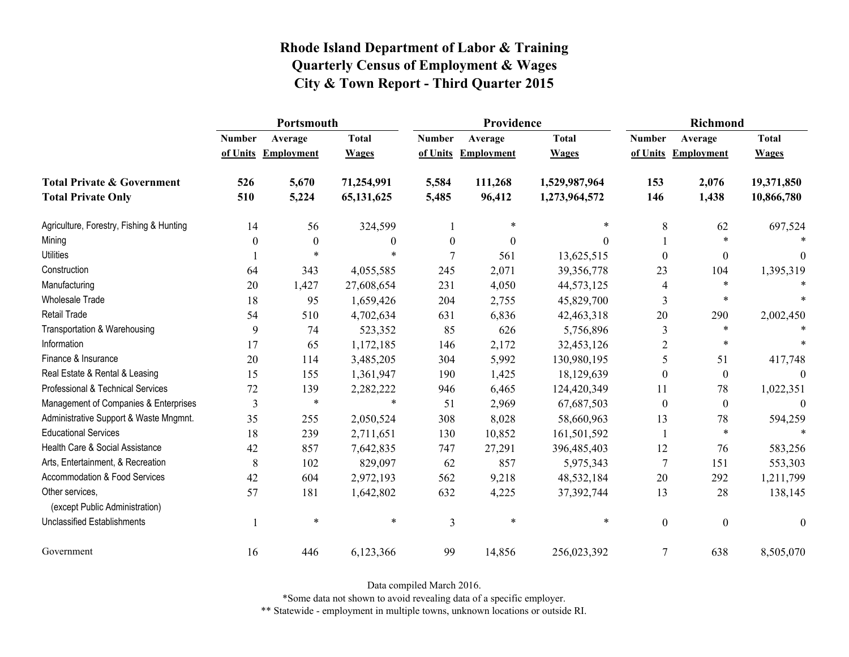|                                                   | Portsmouth    |                     |              |                  | Providence          |               | <b>Richmond</b>  |                     |                  |
|---------------------------------------------------|---------------|---------------------|--------------|------------------|---------------------|---------------|------------------|---------------------|------------------|
|                                                   | <b>Number</b> | Average             | <b>Total</b> | <b>Number</b>    | Average             | <b>Total</b>  | <b>Number</b>    | Average             | <b>Total</b>     |
|                                                   |               | of Units Employment | <b>Wages</b> |                  | of Units Employment | <b>Wages</b>  |                  | of Units Employment | <b>Wages</b>     |
| <b>Total Private &amp; Government</b>             | 526           | 5,670               | 71,254,991   | 5,584            | 111,268             | 1,529,987,964 | 153              | 2,076               | 19,371,850       |
| <b>Total Private Only</b>                         | 510           | 5,224               | 65, 131, 625 | 5,485            | 96,412              | 1,273,964,572 | 146              | 1,438               | 10,866,780       |
| Agriculture, Forestry, Fishing & Hunting          | 14            | 56                  | 324,599      |                  | $\ast$              | $\ast$        | 8                | 62                  | 697,524          |
| Mining                                            | 0             | $\mathbf{0}$        | $\theta$     | $\boldsymbol{0}$ | $\theta$            | 0             |                  | $\ast$              |                  |
| <b>Utilities</b>                                  |               | $\ast$              | $\ast$       | 7                | 561                 | 13,625,515    | $\theta$         | $\boldsymbol{0}$    | 0                |
| Construction                                      | 64            | 343                 | 4,055,585    | 245              | 2,071               | 39,356,778    | 23               | 104                 | 1,395,319        |
| Manufacturing                                     | 20            | 1,427               | 27,608,654   | 231              | 4,050               | 44,573,125    | 4                | $\ast$              |                  |
| Wholesale Trade                                   | 18            | 95                  | 1,659,426    | 204              | 2,755               | 45,829,700    | 3                | $\ast$              |                  |
| <b>Retail Trade</b>                               | 54            | 510                 | 4,702,634    | 631              | 6,836               | 42,463,318    | 20               | 290                 | 2,002,450        |
| Transportation & Warehousing                      | 9             | 74                  | 523,352      | 85               | 626                 | 5,756,896     | 3                | $\ast$              |                  |
| Information                                       | 17            | 65                  | 1,172,185    | 146              | 2,172               | 32,453,126    | $\overline{2}$   | $\ast$              |                  |
| Finance & Insurance                               | 20            | 114                 | 3,485,205    | 304              | 5,992               | 130,980,195   | 5                | 51                  | 417,748          |
| Real Estate & Rental & Leasing                    | 15            | 155                 | 1,361,947    | 190              | 1,425               | 18,129,639    | $\theta$         | $\boldsymbol{0}$    | $\Omega$         |
| Professional & Technical Services                 | 72            | 139                 | 2,282,222    | 946              | 6,465               | 124,420,349   | 11               | 78                  | 1,022,351        |
| Management of Companies & Enterprises             | 3             | $\ast$              | $\ast$       | 51               | 2,969               | 67,687,503    | $\theta$         | $\overline{0}$      | $\Omega$         |
| Administrative Support & Waste Mngmnt.            | 35            | 255                 | 2,050,524    | 308              | 8,028               | 58,660,963    | 13               | 78                  | 594,259          |
| <b>Educational Services</b>                       | 18            | 239                 | 2,711,651    | 130              | 10,852              | 161,501,592   |                  | $\ast$              |                  |
| Health Care & Social Assistance                   | 42            | 857                 | 7,642,835    | 747              | 27,291              | 396,485,403   | 12               | 76                  | 583,256          |
| Arts, Entertainment, & Recreation                 | $8\,$         | 102                 | 829,097      | 62               | 857                 | 5,975,343     | 7                | 151                 | 553,303          |
| Accommodation & Food Services                     | 42            | 604                 | 2,972,193    | 562              | 9,218               | 48,532,184    | 20               | 292                 | 1,211,799        |
| Other services,<br>(except Public Administration) | 57            | 181                 | 1,642,802    | 632              | 4,225               | 37,392,744    | 13               | 28                  | 138,145          |
| <b>Unclassified Establishments</b>                |               | $\ast$              | $\ast$       | 3                | $\ast$              | $\ast$        | $\boldsymbol{0}$ | $\boldsymbol{0}$    | $\boldsymbol{0}$ |
| Government                                        | 16            | 446                 | 6,123,366    | 99               | 14,856              | 256,023,392   | 7                | 638                 | 8,505,070        |

Data compiled March 2016.

\*Some data not shown to avoid revealing data of a specific employer.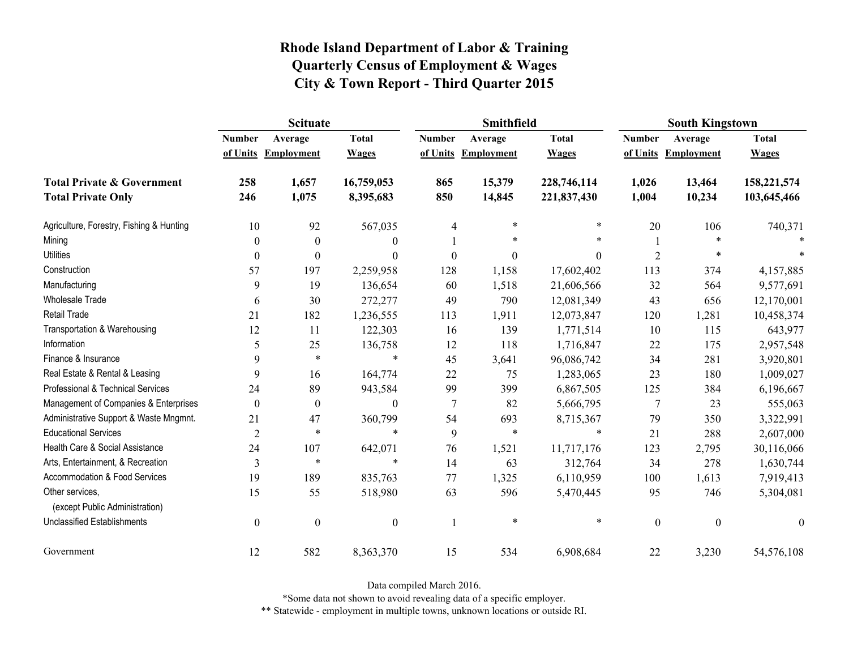|                                                   | <b>Scituate</b>  |                     |                  |                  | Smithfield        |                  | <b>South Kingstown</b> |                     |                  |
|---------------------------------------------------|------------------|---------------------|------------------|------------------|-------------------|------------------|------------------------|---------------------|------------------|
|                                                   | <b>Number</b>    | Average             | <b>Total</b>     | <b>Number</b>    | Average           | <b>Total</b>     | <b>Number</b>          | Average             | <b>Total</b>     |
|                                                   |                  | of Units Employment | <b>Wages</b>     | of Units         | <b>Employment</b> | <b>Wages</b>     |                        | of Units Employment | <b>Wages</b>     |
| <b>Total Private &amp; Government</b>             | 258              | 1,657               | 16,759,053       | 865              | 15,379            | 228,746,114      | 1,026                  | 13,464              | 158,221,574      |
| <b>Total Private Only</b>                         | 246              | 1,075               | 8,395,683        | 850              | 14,845            | 221,837,430      | 1,004                  | 10,234              | 103,645,466      |
| Agriculture, Forestry, Fishing & Hunting          | 10               | 92                  | 567,035          | 4                | $\ast$            | $\ast$           | 20                     | 106                 | 740,371          |
| Mining                                            | $\theta$         | $\theta$            | $\mathbf{0}$     |                  | $\ast$            | $\ast$           |                        |                     |                  |
| <b>Utilities</b>                                  | $\theta$         | $\theta$            | $\boldsymbol{0}$ | $\boldsymbol{0}$ | $\boldsymbol{0}$  | $\boldsymbol{0}$ | $\overline{2}$         | $\ast$              |                  |
| Construction                                      | 57               | 197                 | 2,259,958        | 128              | 1,158             | 17,602,402       | 113                    | 374                 | 4,157,885        |
| Manufacturing                                     | 9                | 19                  | 136,654          | 60               | 1,518             | 21,606,566       | 32                     | 564                 | 9,577,691        |
| Wholesale Trade                                   | 6                | 30                  | 272,277          | 49               | 790               | 12,081,349       | 43                     | 656                 | 12,170,001       |
| <b>Retail Trade</b>                               | 21               | 182                 | 1,236,555        | 113              | 1,911             | 12,073,847       | 120                    | 1,281               | 10,458,374       |
| Transportation & Warehousing                      | 12               | 11                  | 122,303          | 16               | 139               | 1,771,514        | 10                     | 115                 | 643,977          |
| Information                                       | 5                | 25                  | 136,758          | 12               | 118               | 1,716,847        | 22                     | 175                 | 2,957,548        |
| Finance & Insurance                               | 9                | $\ast$              | $\ast$           | 45               | 3,641             | 96,086,742       | 34                     | 281                 | 3,920,801        |
| Real Estate & Rental & Leasing                    | 9                | 16                  | 164,774          | 22               | 75                | 1,283,065        | 23                     | 180                 | 1,009,027        |
| Professional & Technical Services                 | 24               | 89                  | 943,584          | 99               | 399               | 6,867,505        | 125                    | 384                 | 6,196,667        |
| Management of Companies & Enterprises             | $\theta$         | $\theta$            | $\theta$         | $\overline{7}$   | 82                | 5,666,795        | 7                      | 23                  | 555,063          |
| Administrative Support & Waste Mngmnt.            | 21               | 47                  | 360,799          | 54               | 693               | 8,715,367        | 79                     | 350                 | 3,322,991        |
| <b>Educational Services</b>                       | $\overline{2}$   | $\ast$              | $\ast$           | 9                | $\ast$            | $\ast$           | 21                     | 288                 | 2,607,000        |
| Health Care & Social Assistance                   | 24               | 107                 | 642,071          | 76               | 1,521             | 11,717,176       | 123                    | 2,795               | 30,116,066       |
| Arts, Entertainment, & Recreation                 | $\mathfrak{Z}$   | $\ast$              | $\ast$           | 14               | 63                | 312,764          | 34                     | 278                 | 1,630,744        |
| Accommodation & Food Services                     | 19               | 189                 | 835,763          | 77               | 1,325             | 6,110,959        | 100                    | 1,613               | 7,919,413        |
| Other services,<br>(except Public Administration) | 15               | 55                  | 518,980          | 63               | 596               | 5,470,445        | 95                     | 746                 | 5,304,081        |
| <b>Unclassified Establishments</b>                | $\boldsymbol{0}$ | $\boldsymbol{0}$    | $\boldsymbol{0}$ |                  | $\ast$            | $\ast$           | $\boldsymbol{0}$       | $\mathbf{0}$        | $\boldsymbol{0}$ |
| Government                                        | 12               | 582                 | 8,363,370        | 15               | 534               | 6,908,684        | 22                     | 3,230               | 54,576,108       |

Data compiled March 2016.

\*Some data not shown to avoid revealing data of a specific employer.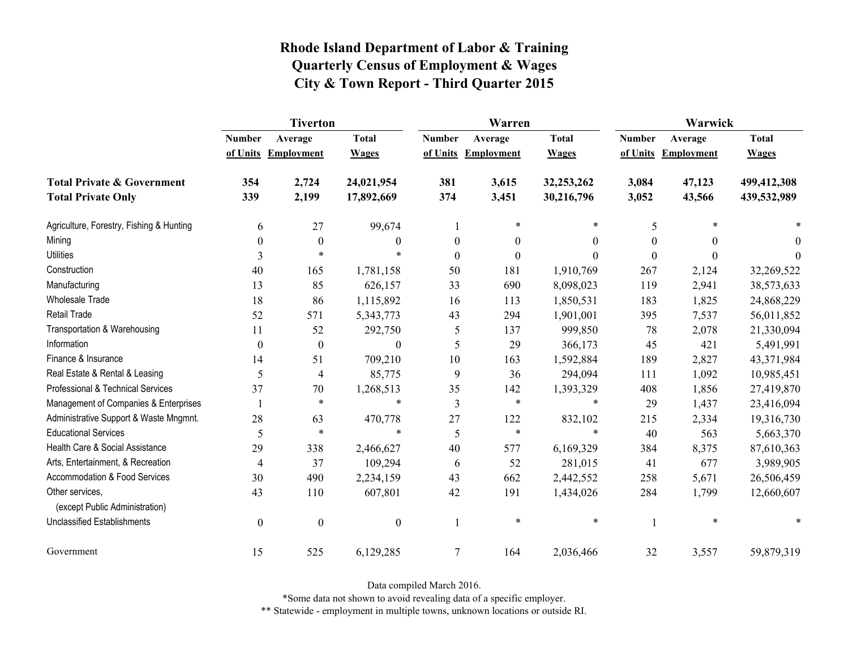|                                                   | <b>Tiverton</b>  |                   |                  |                  | Warren              |                  | Warwick       |                   |              |
|---------------------------------------------------|------------------|-------------------|------------------|------------------|---------------------|------------------|---------------|-------------------|--------------|
|                                                   | <b>Number</b>    | Average           | <b>Total</b>     | <b>Number</b>    | Average             | <b>Total</b>     | <b>Number</b> | Average           | <b>Total</b> |
|                                                   | of Units         | <b>Employment</b> | <b>Wages</b>     |                  | of Units Employment | <b>Wages</b>     | of Units      | <b>Employment</b> | <b>Wages</b> |
| <b>Total Private &amp; Government</b>             | 354              | 2,724             | 24,021,954       | 381              | 3,615               | 32,253,262       | 3,084         | 47,123            | 499,412,308  |
| <b>Total Private Only</b>                         | 339              | 2,199             | 17,892,669       | 374              | 3,451               | 30,216,796       | 3,052         | 43,566            | 439,532,989  |
| Agriculture, Forestry, Fishing & Hunting          | 6                | 27                | 99,674           |                  | $\ast$              | *                | 5             |                   |              |
| Mining                                            | $\boldsymbol{0}$ | $\boldsymbol{0}$  | $\theta$         | $\boldsymbol{0}$ | $\boldsymbol{0}$    | $\boldsymbol{0}$ | $\theta$      | $\theta$          | $\theta$     |
| <b>Utilities</b>                                  | 3                | $\ast$            | $\ast$           | $\boldsymbol{0}$ | $\boldsymbol{0}$    | $\theta$         | $\Omega$      | $\theta$          | $\theta$     |
| Construction                                      | 40               | 165               | 1,781,158        | 50               | 181                 | 1,910,769        | 267           | 2,124             | 32,269,522   |
| Manufacturing                                     | 13               | 85                | 626,157          | 33               | 690                 | 8,098,023        | 119           | 2,941             | 38,573,633   |
| <b>Wholesale Trade</b>                            | 18               | 86                | 1,115,892        | 16               | 113                 | 1,850,531        | 183           | 1,825             | 24,868,229   |
| <b>Retail Trade</b>                               | 52               | 571               | 5,343,773        | 43               | 294                 | 1,901,001        | 395           | 7,537             | 56,011,852   |
| Transportation & Warehousing                      | 11               | 52                | 292,750          | 5                | 137                 | 999,850          | 78            | 2,078             | 21,330,094   |
| Information                                       | $\theta$         | $\boldsymbol{0}$  | $\theta$         | 5                | 29                  | 366,173          | 45            | 421               | 5,491,991    |
| Finance & Insurance                               | 14               | 51                | 709,210          | 10               | 163                 | 1,592,884        | 189           | 2,827             | 43,371,984   |
| Real Estate & Rental & Leasing                    | 5                | 4                 | 85,775           | 9                | 36                  | 294,094          | 111           | 1,092             | 10,985,451   |
| Professional & Technical Services                 | 37               | 70                | 1,268,513        | 35               | 142                 | 1,393,329        | 408           | 1,856             | 27,419,870   |
| Management of Companies & Enterprises             |                  | $\ast$            | $\ast$           | $\mathfrak{Z}$   | $\ast$              | $\ast$           | 29            | 1,437             | 23,416,094   |
| Administrative Support & Waste Mngmnt.            | 28               | 63                | 470,778          | 27               | 122                 | 832,102          | 215           | 2,334             | 19,316,730   |
| <b>Educational Services</b>                       | 5                | $\ast$            | $\ast$           | 5                | $\ast$              | $\ast$           | 40            | 563               | 5,663,370    |
| Health Care & Social Assistance                   | 29               | 338               | 2,466,627        | 40               | 577                 | 6,169,329        | 384           | 8,375             | 87,610,363   |
| Arts, Entertainment, & Recreation                 | $\overline{4}$   | 37                | 109,294          | 6                | 52                  | 281,015          | 41            | 677               | 3,989,905    |
| Accommodation & Food Services                     | 30               | 490               | 2,234,159        | 43               | 662                 | 2,442,552        | 258           | 5,671             | 26,506,459   |
| Other services,<br>(except Public Administration) | 43               | 110               | 607,801          | 42               | 191                 | 1,434,026        | 284           | 1,799             | 12,660,607   |
| <b>Unclassified Establishments</b>                | $\boldsymbol{0}$ | $\boldsymbol{0}$  | $\boldsymbol{0}$ | 1                | $\ast$              | $\ast$           |               | $\ast$            |              |
| Government                                        | 15               | 525               | 6,129,285        | 7                | 164                 | 2,036,466        | 32            | 3,557             | 59,879,319   |

Data compiled March 2016.

\*Some data not shown to avoid revealing data of a specific employer.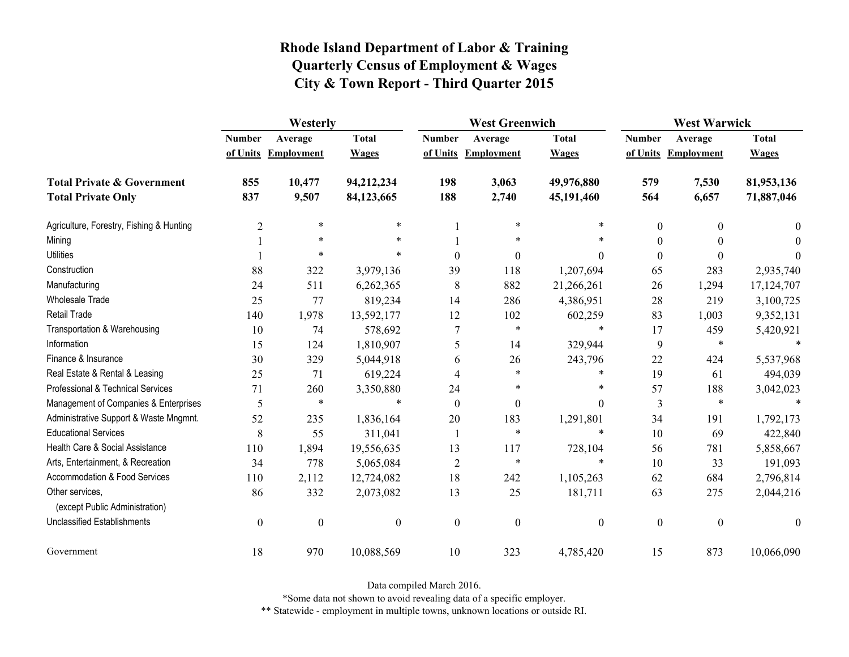|                                                   | Westerly         |                     |                  | <b>West Greenwich</b> |                     |                  | <b>West Warwick</b> |                     |              |
|---------------------------------------------------|------------------|---------------------|------------------|-----------------------|---------------------|------------------|---------------------|---------------------|--------------|
|                                                   | <b>Number</b>    | Average             | <b>Total</b>     | <b>Number</b>         | Average             | <b>Total</b>     | <b>Number</b>       | Average             | <b>Total</b> |
|                                                   |                  | of Units Employment | <b>Wages</b>     |                       | of Units Employment | <b>Wages</b>     |                     | of Units Employment | <b>Wages</b> |
| <b>Total Private &amp; Government</b>             | 855              | 10,477              | 94,212,234       | 198                   | 3,063               | 49,976,880       | 579                 | 7,530               | 81,953,136   |
| <b>Total Private Only</b>                         | 837              | 9,507               | 84,123,665       | 188                   | 2,740               | 45,191,460       | 564                 | 6,657               | 71,887,046   |
| Agriculture, Forestry, Fishing & Hunting          | $\overline{2}$   | $\ast$              | $\ast$           |                       | $\ast$              | *                | $\boldsymbol{0}$    | $\theta$            | $\theta$     |
| Mining                                            |                  | $\ast$              | $\ast$           |                       | *                   | *                | $\theta$            |                     | $\Omega$     |
| <b>Utilities</b>                                  |                  | $\ast$              |                  | $\theta$              | $\mathbf{0}$        | $\theta$         | $\boldsymbol{0}$    | $\theta$            | $\Omega$     |
| Construction                                      | 88               | 322                 | 3,979,136        | 39                    | 118                 | 1,207,694        | 65                  | 283                 | 2,935,740    |
| Manufacturing                                     | 24               | 511                 | 6,262,365        | 8                     | 882                 | 21,266,261       | 26                  | 1,294               | 17,124,707   |
| <b>Wholesale Trade</b>                            | 25               | 77                  | 819,234          | 14                    | 286                 | 4,386,951        | 28                  | 219                 | 3,100,725    |
| <b>Retail Trade</b>                               | 140              | 1,978               | 13,592,177       | 12                    | 102                 | 602,259          | 83                  | 1,003               | 9,352,131    |
| Transportation & Warehousing                      | 10               | 74                  | 578,692          | $\tau$                | $\ast$              | $\ast$           | 17                  | 459                 | 5,420,921    |
| Information                                       | 15               | 124                 | 1,810,907        | 5                     | 14                  | 329,944          | 9                   | $\ast$              |              |
| Finance & Insurance                               | 30               | 329                 | 5,044,918        | 6                     | 26                  | 243,796          | 22                  | 424                 | 5,537,968    |
| Real Estate & Rental & Leasing                    | 25               | 71                  | 619,224          | 4                     | *                   | $\ast$           | 19                  | 61                  | 494,039      |
| Professional & Technical Services                 | 71               | 260                 | 3,350,880        | 24                    | *                   | $\ast$           | 57                  | 188                 | 3,042,023    |
| Management of Companies & Enterprises             | 5                | $\ast$              | $\ast$           | $\theta$              | $\mathbf{0}$        | $\theta$         | 3                   | $\ast$              | $\ast$       |
| Administrative Support & Waste Mngmnt.            | 52               | 235                 | 1,836,164        | 20                    | 183                 | 1,291,801        | 34                  | 191                 | 1,792,173    |
| <b>Educational Services</b>                       | 8                | 55                  | 311,041          | -1                    | $\ast$              | $\ast$           | 10                  | 69                  | 422,840      |
| Health Care & Social Assistance                   | 110              | 1,894               | 19,556,635       | 13                    | 117                 | 728,104          | 56                  | 781                 | 5,858,667    |
| Arts, Entertainment, & Recreation                 | 34               | 778                 | 5,065,084        | $\overline{2}$        | $\ast$              | $\ast$           | 10                  | 33                  | 191,093      |
| Accommodation & Food Services                     | 110              | 2,112               | 12,724,082       | 18                    | 242                 | 1,105,263        | 62                  | 684                 | 2,796,814    |
| Other services,<br>(except Public Administration) | 86               | 332                 | 2,073,082        | 13                    | 25                  | 181,711          | 63                  | 275                 | 2,044,216    |
| <b>Unclassified Establishments</b>                | $\boldsymbol{0}$ | $\boldsymbol{0}$    | $\boldsymbol{0}$ | $\boldsymbol{0}$      | $\boldsymbol{0}$    | $\boldsymbol{0}$ | $\boldsymbol{0}$    | $\boldsymbol{0}$    | $\theta$     |
| Government                                        | 18               | 970                 | 10,088,569       | 10                    | 323                 | 4,785,420        | 15                  | 873                 | 10,066,090   |

Data compiled March 2016.

\*Some data not shown to avoid revealing data of a specific employer.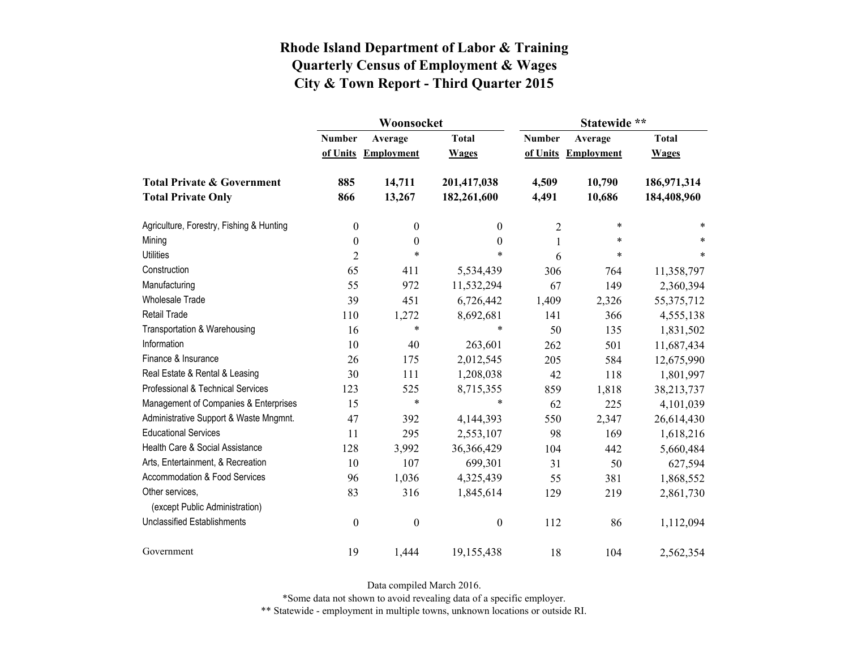|                                                   |                  | Woonsocket        |                  | Statewide **  |                   |              |  |
|---------------------------------------------------|------------------|-------------------|------------------|---------------|-------------------|--------------|--|
|                                                   | <b>Number</b>    | Average           | <b>Total</b>     | <b>Number</b> | Average           | <b>Total</b> |  |
|                                                   | of Units         | <b>Employment</b> | <b>Wages</b>     | of Units      | <b>Employment</b> | <b>Wages</b> |  |
| <b>Total Private &amp; Government</b>             | 885              | 14,711            | 201,417,038      | 4,509         | 10,790            | 186,971,314  |  |
| <b>Total Private Only</b>                         | 866              | 13,267            | 182,261,600      | 4,491         | 10,686            | 184,408,960  |  |
| Agriculture, Forestry, Fishing & Hunting          | $\boldsymbol{0}$ | $\boldsymbol{0}$  | 0                | 2             | $\ast$            | *            |  |
| Mining                                            | $\boldsymbol{0}$ | $\boldsymbol{0}$  | $\boldsymbol{0}$ | 1             | $\ast$            | *            |  |
| <b>Utilities</b>                                  | $\overline{2}$   | $\ast$            | $\ast$           | 6             | $\ast$            | $\ast$       |  |
| Construction                                      | 65               | 411               | 5,534,439        | 306           | 764               | 11,358,797   |  |
| Manufacturing                                     | 55               | 972               | 11,532,294       | 67            | 149               | 2,360,394    |  |
| <b>Wholesale Trade</b>                            | 39               | 451               | 6,726,442        | 1,409         | 2,326             | 55, 375, 712 |  |
| Retail Trade                                      | 110              | 1,272             | 8,692,681        | 141           | 366               | 4,555,138    |  |
| Transportation & Warehousing                      | 16               | $\ast$            | $\ast$           | 50            | 135               | 1,831,502    |  |
| Information                                       | 10               | 40                | 263,601          | 262           | 501               | 11,687,434   |  |
| Finance & Insurance                               | 26               | 175               | 2,012,545        | 205           | 584               | 12,675,990   |  |
| Real Estate & Rental & Leasing                    | 30               | 111               | 1,208,038        | 42            | 118               | 1,801,997    |  |
| Professional & Technical Services                 | 123              | 525               | 8,715,355        | 859           | 1,818             | 38,213,737   |  |
| Management of Companies & Enterprises             | 15               | $\ast$            | $\ast$           | 62            | 225               | 4,101,039    |  |
| Administrative Support & Waste Mngmnt.            | 47               | 392               | 4,144,393        | 550           | 2,347             | 26,614,430   |  |
| <b>Educational Services</b>                       | 11               | 295               | 2,553,107        | 98            | 169               | 1,618,216    |  |
| Health Care & Social Assistance                   | 128              | 3,992             | 36,366,429       | 104           | 442               | 5,660,484    |  |
| Arts, Entertainment, & Recreation                 | 10               | 107               | 699,301          | 31            | 50                | 627,594      |  |
| Accommodation & Food Services                     | 96               | 1,036             | 4,325,439        | 55            | 381               | 1,868,552    |  |
| Other services,<br>(except Public Administration) | 83               | 316               | 1,845,614        | 129           | 219               | 2,861,730    |  |
| <b>Unclassified Establishments</b>                | $\boldsymbol{0}$ | $\boldsymbol{0}$  | $\boldsymbol{0}$ | 112           | 86                | 1,112,094    |  |
| Government                                        | 19               | 1,444             | 19,155,438       | 18            | 104               | 2,562,354    |  |

Data compiled March 2016.

\*Some data not shown to avoid revealing data of a specific employer.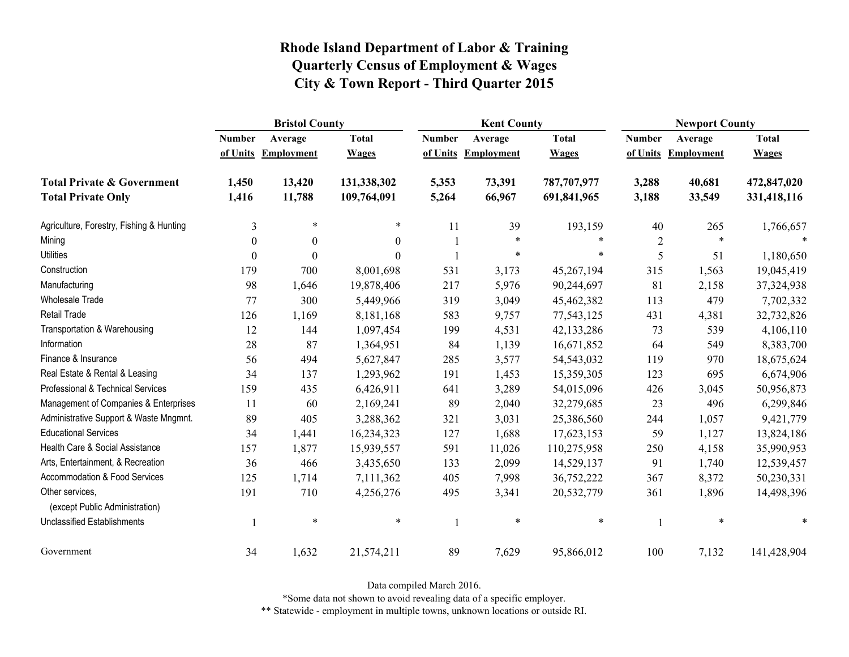|                                                   | <b>Bristol County</b> |                   |                  |               | <b>Kent County</b> |              |                | <b>Newport County</b> |              |  |
|---------------------------------------------------|-----------------------|-------------------|------------------|---------------|--------------------|--------------|----------------|-----------------------|--------------|--|
|                                                   | <b>Number</b>         | Average           | <b>Total</b>     | <b>Number</b> | Average            | <b>Total</b> | <b>Number</b>  | Average               | <b>Total</b> |  |
|                                                   | of Units              | <b>Employment</b> | <b>Wages</b>     | of Units      | <b>Employment</b>  | <b>Wages</b> | of Units       | <b>Employment</b>     | <b>Wages</b> |  |
| <b>Total Private &amp; Government</b>             | 1,450                 | 13,420            | 131,338,302      | 5,353         | 73,391             | 787,707,977  | 3,288          | 40,681                | 472,847,020  |  |
| <b>Total Private Only</b>                         | 1,416                 | 11,788            | 109,764,091      | 5,264         | 66,967             | 691,841,965  | 3,188          | 33,549                | 331,418,116  |  |
| Agriculture, Forestry, Fishing & Hunting          | 3                     | $\ast$            | *                | 11            | 39                 | 193,159      | 40             | 265                   | 1,766,657    |  |
| Mining                                            | $\theta$              | $\boldsymbol{0}$  | $\boldsymbol{0}$ |               | $\ast$             | *            | $\overline{2}$ | $\ast$                |              |  |
| <b>Utilities</b>                                  | $\theta$              | $\theta$          | $\Omega$         |               | $\ast$             | $\ast$       | 5              | 51                    | 1,180,650    |  |
| Construction                                      | 179                   | 700               | 8,001,698        | 531           | 3,173              | 45,267,194   | 315            | 1,563                 | 19,045,419   |  |
| Manufacturing                                     | 98                    | 1,646             | 19,878,406       | 217           | 5,976              | 90,244,697   | 81             | 2,158                 | 37,324,938   |  |
| Wholesale Trade                                   | 77                    | 300               | 5,449,966        | 319           | 3,049              | 45,462,382   | 113            | 479                   | 7,702,332    |  |
| <b>Retail Trade</b>                               | 126                   | 1,169             | 8,181,168        | 583           | 9,757              | 77,543,125   | 431            | 4,381                 | 32,732,826   |  |
| Transportation & Warehousing                      | 12                    | 144               | 1,097,454        | 199           | 4,531              | 42,133,286   | 73             | 539                   | 4,106,110    |  |
| Information                                       | 28                    | 87                | 1,364,951        | 84            | 1,139              | 16,671,852   | 64             | 549                   | 8,383,700    |  |
| Finance & Insurance                               | 56                    | 494               | 5,627,847        | 285           | 3,577              | 54,543,032   | 119            | 970                   | 18,675,624   |  |
| Real Estate & Rental & Leasing                    | 34                    | 137               | 1,293,962        | 191           | 1,453              | 15,359,305   | 123            | 695                   | 6,674,906    |  |
| Professional & Technical Services                 | 159                   | 435               | 6,426,911        | 641           | 3,289              | 54,015,096   | 426            | 3,045                 | 50,956,873   |  |
| Management of Companies & Enterprises             | 11                    | 60                | 2,169,241        | 89            | 2,040              | 32,279,685   | 23             | 496                   | 6,299,846    |  |
| Administrative Support & Waste Mngmnt.            | 89                    | 405               | 3,288,362        | 321           | 3,031              | 25,386,560   | 244            | 1,057                 | 9,421,779    |  |
| <b>Educational Services</b>                       | 34                    | 1,441             | 16,234,323       | 127           | 1,688              | 17,623,153   | 59             | 1,127                 | 13,824,186   |  |
| Health Care & Social Assistance                   | 157                   | 1,877             | 15,939,557       | 591           | 11,026             | 110,275,958  | 250            | 4,158                 | 35,990,953   |  |
| Arts, Entertainment, & Recreation                 | 36                    | 466               | 3,435,650        | 133           | 2,099              | 14,529,137   | 91             | 1,740                 | 12,539,457   |  |
| Accommodation & Food Services                     | 125                   | 1,714             | 7,111,362        | 405           | 7,998              | 36,752,222   | 367            | 8,372                 | 50,230,331   |  |
| Other services,<br>(except Public Administration) | 191                   | 710               | 4,256,276        | 495           | 3,341              | 20,532,779   | 361            | 1,896                 | 14,498,396   |  |
| <b>Unclassified Establishments</b>                | $\mathbf{1}$          | $\ast$            | $\ast$           |               | $\ast$             | $\ast$       |                | $\ast$                | $\ast$       |  |
| Government                                        | 34                    | 1,632             | 21,574,211       | 89            | 7,629              | 95,866,012   | 100            | 7,132                 | 141,428,904  |  |

Data compiled March 2016.

\*Some data not shown to avoid revealing data of a specific employer.